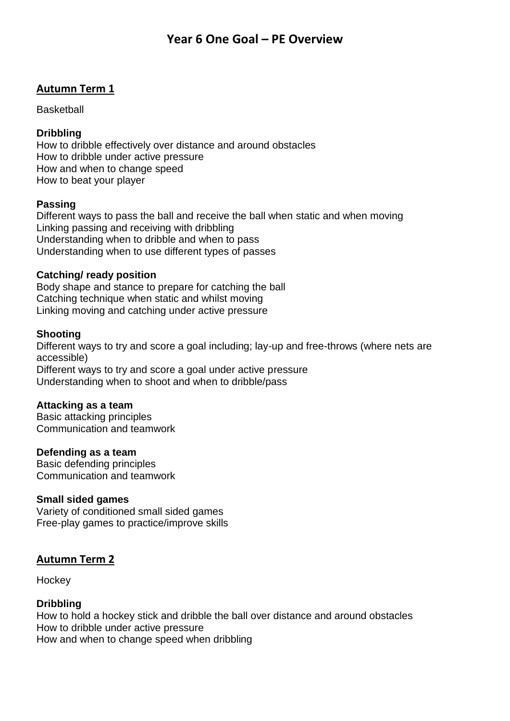# **Autumn Term 1**

**Basketball** 

#### **Dribbling**

How to dribble effectively over distance and around obstacles How to dribble under active pressure How and when to change speed How to beat your player

# **Passing**

Different ways to pass the ball and receive the ball when static and when moving Linking passing and receiving with dribbling Understanding when to dribble and when to pass Understanding when to use different types of passes

# **Catching/ ready position**

Body shape and stance to prepare for catching the ball Catching technique when static and whilst moving Linking moving and catching under active pressure

# **Shooting**

Different ways to try and score a goal including; lay-up and free-throws (where nets are accessible) Different ways to try and score a goal under active pressure Understanding when to shoot and when to dribble/pass

#### **Attacking as a team**

Basic attacking principles Communication and teamwork

#### **Defending as a team**

Basic defending principles Communication and teamwork

#### **Small sided games**

Variety of conditioned small sided games Free-play games to practice/improve skills

# **Autumn Term 2**

**Hockey** 

# **Dribbling**

How to hold a hockey stick and dribble the ball over distance and around obstacles How to dribble under active pressure How and when to change speed when dribbling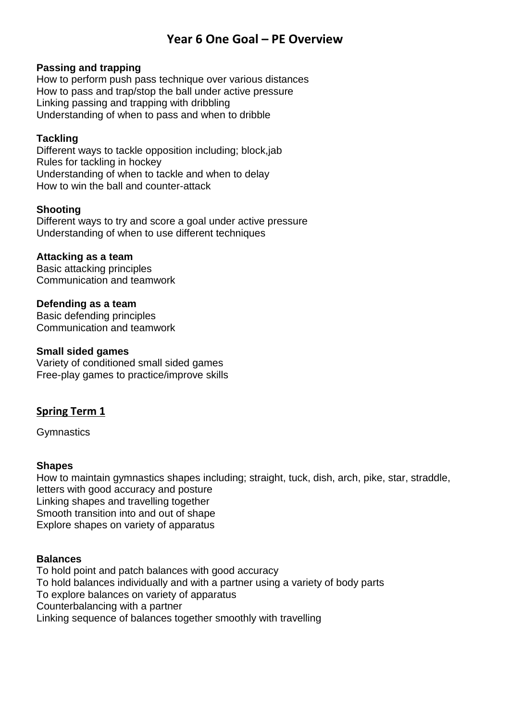#### **Passing and trapping**

How to perform push pass technique over various distances How to pass and trap/stop the ball under active pressure Linking passing and trapping with dribbling Understanding of when to pass and when to dribble

# **Tackling**

Different ways to tackle opposition including; block,jab Rules for tackling in hockey Understanding of when to tackle and when to delay How to win the ball and counter-attack

# **Shooting**

Different ways to try and score a goal under active pressure Understanding of when to use different techniques

# **Attacking as a team**

Basic attacking principles Communication and teamwork

# **Defending as a team**

Basic defending principles Communication and teamwork

#### **Small sided games**

Variety of conditioned small sided games Free-play games to practice/improve skills

# **Spring Term 1**

**Gymnastics** 

#### **Shapes**

How to maintain gymnastics shapes including; straight, tuck, dish, arch, pike, star, straddle, letters with good accuracy and posture Linking shapes and travelling together Smooth transition into and out of shape Explore shapes on variety of apparatus

#### **Balances**

To hold point and patch balances with good accuracy To hold balances individually and with a partner using a variety of body parts To explore balances on variety of apparatus Counterbalancing with a partner Linking sequence of balances together smoothly with travelling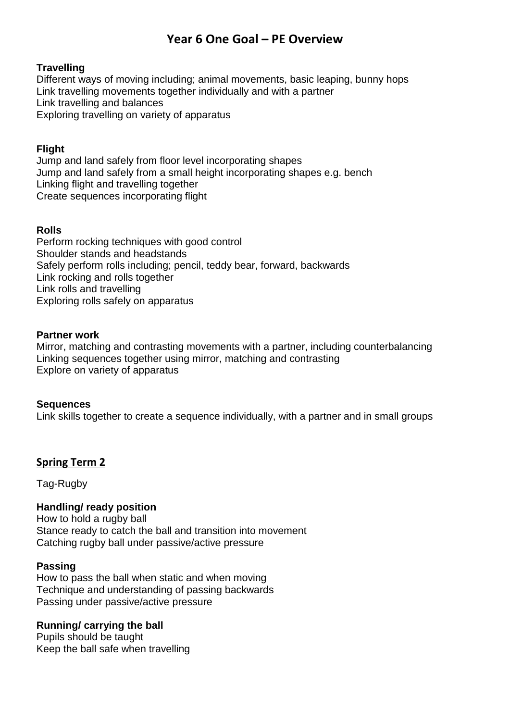# **Travelling**

Different ways of moving including; animal movements, basic leaping, bunny hops Link travelling movements together individually and with a partner Link travelling and balances Exploring travelling on variety of apparatus

# **Flight**

Jump and land safely from floor level incorporating shapes Jump and land safely from a small height incorporating shapes e.g. bench Linking flight and travelling together Create sequences incorporating flight

#### **Rolls**

Perform rocking techniques with good control Shoulder stands and headstands Safely perform rolls including; pencil, teddy bear, forward, backwards Link rocking and rolls together Link rolls and travelling Exploring rolls safely on apparatus

#### **Partner work**

Mirror, matching and contrasting movements with a partner, including counterbalancing Linking sequences together using mirror, matching and contrasting Explore on variety of apparatus

#### **Sequences**

Link skills together to create a sequence individually, with a partner and in small groups

# **Spring Term 2**

Tag-Rugby

#### **Handling/ ready position**

How to hold a rugby ball Stance ready to catch the ball and transition into movement Catching rugby ball under passive/active pressure

#### **Passing**

How to pass the ball when static and when moving Technique and understanding of passing backwards Passing under passive/active pressure

#### **Running/ carrying the ball**

Pupils should be taught Keep the ball safe when travelling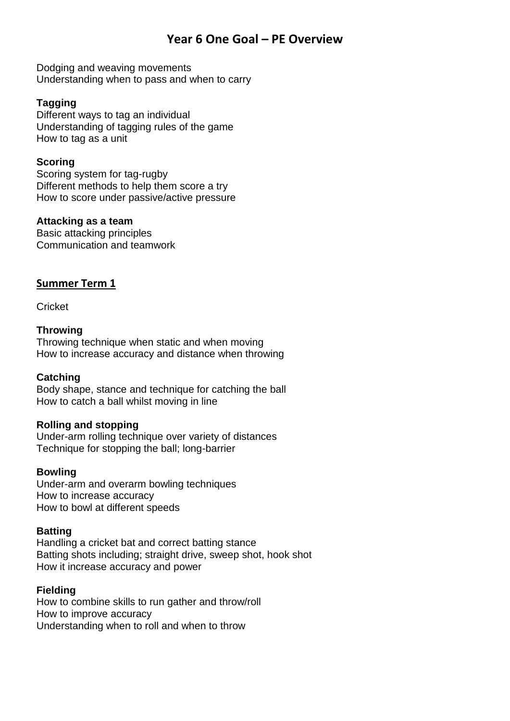Dodging and weaving movements Understanding when to pass and when to carry

# **Tagging**

Different ways to tag an individual Understanding of tagging rules of the game How to tag as a unit

# **Scoring**

Scoring system for tag-rugby Different methods to help them score a try How to score under passive/active pressure

# **Attacking as a team**

Basic attacking principles Communication and teamwork

# **Summer Term 1**

**Cricket** 

# **Throwing**

Throwing technique when static and when moving How to increase accuracy and distance when throwing

# **Catching**

Body shape, stance and technique for catching the ball How to catch a ball whilst moving in line

# **Rolling and stopping**

Under-arm rolling technique over variety of distances Technique for stopping the ball; long-barrier

# **Bowling**

Under-arm and overarm bowling techniques How to increase accuracy How to bowl at different speeds

# **Batting**

Handling a cricket bat and correct batting stance Batting shots including; straight drive, sweep shot, hook shot How it increase accuracy and power

# **Fielding**

How to combine skills to run gather and throw/roll How to improve accuracy Understanding when to roll and when to throw